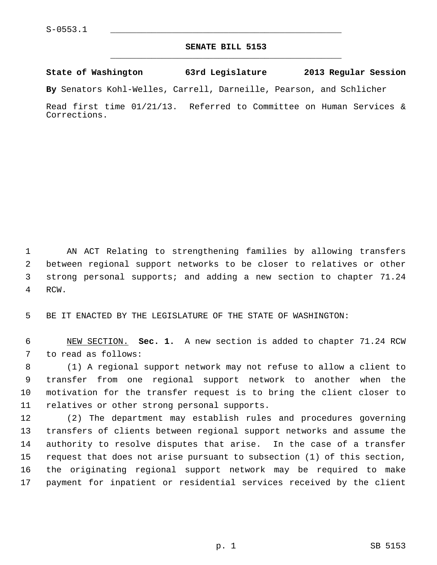## **SENATE BILL 5153** \_\_\_\_\_\_\_\_\_\_\_\_\_\_\_\_\_\_\_\_\_\_\_\_\_\_\_\_\_\_\_\_\_\_\_\_\_\_\_\_\_\_\_\_\_

## **State of Washington 63rd Legislature 2013 Regular Session**

**By** Senators Kohl-Welles, Carrell, Darneille, Pearson, and Schlicher

Read first time 01/21/13. Referred to Committee on Human Services & Corrections.

 1 AN ACT Relating to strengthening families by allowing transfers 2 between regional support networks to be closer to relatives or other 3 strong personal supports; and adding a new section to chapter 71.24 4 RCW.

5 BE IT ENACTED BY THE LEGISLATURE OF THE STATE OF WASHINGTON:

 6 NEW SECTION. **Sec. 1.** A new section is added to chapter 71.24 RCW 7 to read as follows:

 8 (1) A regional support network may not refuse to allow a client to 9 transfer from one regional support network to another when the 10 motivation for the transfer request is to bring the client closer to 11 relatives or other strong personal supports.

12 (2) The department may establish rules and procedures governing 13 transfers of clients between regional support networks and assume the 14 authority to resolve disputes that arise. In the case of a transfer 15 request that does not arise pursuant to subsection (1) of this section, 16 the originating regional support network may be required to make 17 payment for inpatient or residential services received by the client